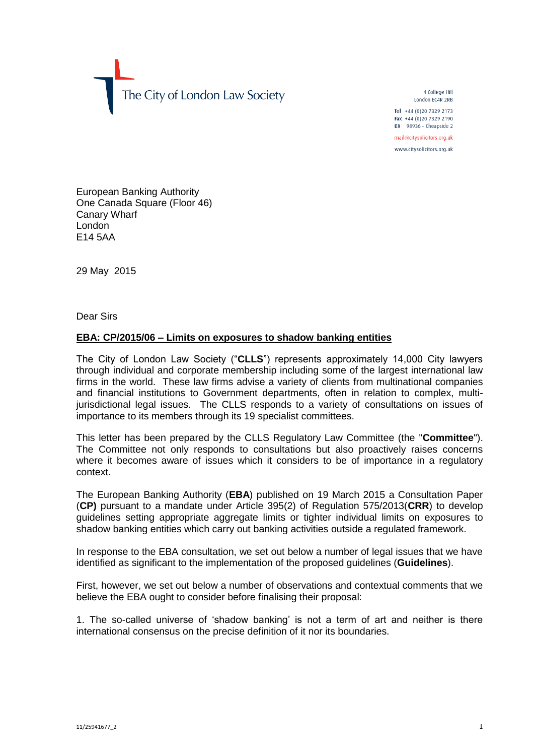The City of London Law Society

4 College Hill London FC4R 2RB

Tel +44 (0)20 7329 2173 Fax +44 (0) 20 7329 2190 DX  $98936$  - Cheapside 2

mail@citysolicitors.org.uk

www.citysolicitors.org.uk

European Banking Authority One Canada Square (Floor 46) Canary Wharf London E14 5AA

29 May 2015

Dear Sirs

## **EBA: CP/2015/06 – Limits on exposures to shadow banking entities**

The City of London Law Society ("**CLLS**") represents approximately 14,000 City lawyers through individual and corporate membership including some of the largest international law firms in the world. These law firms advise a variety of clients from multinational companies and financial institutions to Government departments, often in relation to complex, multijurisdictional legal issues. The CLLS responds to a variety of consultations on issues of importance to its members through its 19 specialist committees.

This letter has been prepared by the CLLS Regulatory Law Committee (the "**Committee**"). The Committee not only responds to consultations but also proactively raises concerns where it becomes aware of issues which it considers to be of importance in a regulatory context.

The European Banking Authority (**EBA**) published on 19 March 2015 a Consultation Paper (**CP)** pursuant to a mandate under Article 395(2) of Regulation 575/2013(**CRR**) to develop guidelines setting appropriate aggregate limits or tighter individual limits on exposures to shadow banking entities which carry out banking activities outside a regulated framework.

In response to the EBA consultation, we set out below a number of legal issues that we have identified as significant to the implementation of the proposed guidelines (**Guidelines**).

First, however, we set out below a number of observations and contextual comments that we believe the EBA ought to consider before finalising their proposal:

1. The so-called universe of 'shadow banking' is not a term of art and neither is there international consensus on the precise definition of it nor its boundaries.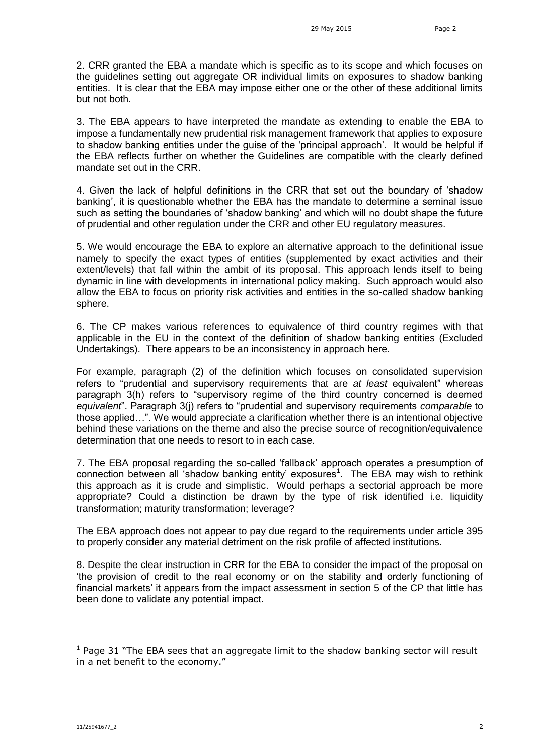2. CRR granted the EBA a mandate which is specific as to its scope and which focuses on the guidelines setting out aggregate OR individual limits on exposures to shadow banking entities. It is clear that the EBA may impose either one or the other of these additional limits but not both.

3. The EBA appears to have interpreted the mandate as extending to enable the EBA to impose a fundamentally new prudential risk management framework that applies to exposure to shadow banking entities under the guise of the 'principal approach'. It would be helpful if the EBA reflects further on whether the Guidelines are compatible with the clearly defined mandate set out in the CRR.

4. Given the lack of helpful definitions in the CRR that set out the boundary of 'shadow banking', it is questionable whether the EBA has the mandate to determine a seminal issue such as setting the boundaries of 'shadow banking' and which will no doubt shape the future of prudential and other regulation under the CRR and other EU regulatory measures.

5. We would encourage the EBA to explore an alternative approach to the definitional issue namely to specify the exact types of entities (supplemented by exact activities and their extent/levels) that fall within the ambit of its proposal. This approach lends itself to being dynamic in line with developments in international policy making. Such approach would also allow the EBA to focus on priority risk activities and entities in the so-called shadow banking sphere.

6. The CP makes various references to equivalence of third country regimes with that applicable in the EU in the context of the definition of shadow banking entities (Excluded Undertakings). There appears to be an inconsistency in approach here.

For example, paragraph (2) of the definition which focuses on consolidated supervision refers to "prudential and supervisory requirements that are *at least* equivalent" whereas paragraph 3(h) refers to "supervisory regime of the third country concerned is deemed *equivalent*". Paragraph 3(j) refers to "prudential and supervisory requirements *comparable* to those applied…". We would appreciate a clarification whether there is an intentional objective behind these variations on the theme and also the precise source of recognition/equivalence determination that one needs to resort to in each case.

7. The EBA proposal regarding the so-called 'fallback' approach operates a presumption of connection between all 'shadow banking entity' exposures<sup>1</sup>. The EBA may wish to rethink this approach as it is crude and simplistic. Would perhaps a sectorial approach be more appropriate? Could a distinction be drawn by the type of risk identified i.e. liquidity transformation; maturity transformation; leverage?

The EBA approach does not appear to pay due regard to the requirements under article 395 to properly consider any material detriment on the risk profile of affected institutions.

8. Despite the clear instruction in CRR for the EBA to consider the impact of the proposal on 'the provision of credit to the real economy or on the stability and orderly functioning of financial markets' it appears from the impact assessment in section 5 of the CP that little has been done to validate any potential impact.

-

 $<sup>1</sup>$  Page 31 "The EBA sees that an aggregate limit to the shadow banking sector will result</sup> in a net benefit to the economy."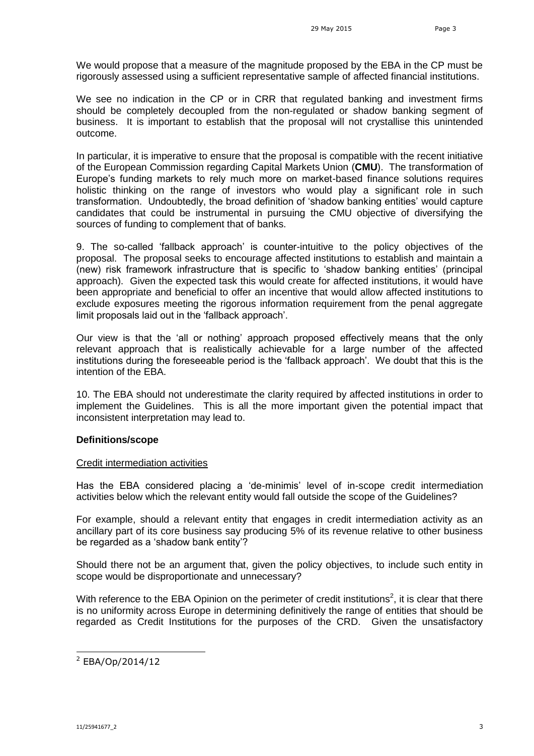We would propose that a measure of the magnitude proposed by the EBA in the CP must be rigorously assessed using a sufficient representative sample of affected financial institutions.

We see no indication in the CP or in CRR that regulated banking and investment firms should be completely decoupled from the non-regulated or shadow banking segment of business. It is important to establish that the proposal will not crystallise this unintended outcome.

In particular, it is imperative to ensure that the proposal is compatible with the recent initiative of the European Commission regarding Capital Markets Union (**CMU**). The transformation of Europe's funding markets to rely much more on market-based finance solutions requires holistic thinking on the range of investors who would play a significant role in such transformation. Undoubtedly, the broad definition of 'shadow banking entities' would capture candidates that could be instrumental in pursuing the CMU objective of diversifying the sources of funding to complement that of banks.

9. The so-called 'fallback approach' is counter-intuitive to the policy objectives of the proposal. The proposal seeks to encourage affected institutions to establish and maintain a (new) risk framework infrastructure that is specific to 'shadow banking entities' (principal approach). Given the expected task this would create for affected institutions, it would have been appropriate and beneficial to offer an incentive that would allow affected institutions to exclude exposures meeting the rigorous information requirement from the penal aggregate limit proposals laid out in the 'fallback approach'.

Our view is that the 'all or nothing' approach proposed effectively means that the only relevant approach that is realistically achievable for a large number of the affected institutions during the foreseeable period is the 'fallback approach'. We doubt that this is the intention of the EBA.

10. The EBA should not underestimate the clarity required by affected institutions in order to implement the Guidelines. This is all the more important given the potential impact that inconsistent interpretation may lead to.

## **Definitions/scope**

#### Credit intermediation activities

Has the EBA considered placing a 'de-minimis' level of in-scope credit intermediation activities below which the relevant entity would fall outside the scope of the Guidelines?

For example, should a relevant entity that engages in credit intermediation activity as an ancillary part of its core business say producing 5% of its revenue relative to other business be regarded as a 'shadow bank entity'?

Should there not be an argument that, given the policy objectives, to include such entity in scope would be disproportionate and unnecessary?

With reference to the EBA Opinion on the perimeter of credit institutions<sup>2</sup>, it is clear that there is no uniformity across Europe in determining definitively the range of entities that should be regarded as Credit Institutions for the purposes of the CRD. Given the unsatisfactory

-

 $2$  EBA/Op/2014/12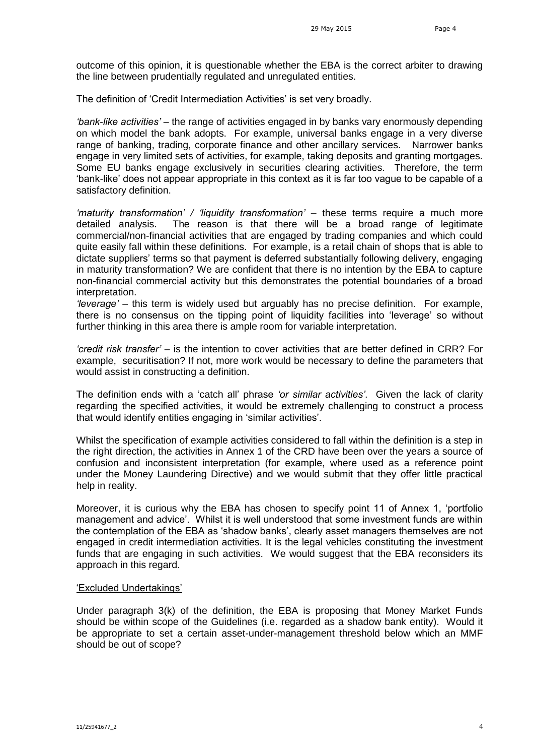outcome of this opinion, it is questionable whether the EBA is the correct arbiter to drawing the line between prudentially regulated and unregulated entities.

The definition of 'Credit Intermediation Activities' is set very broadly.

*'bank-like activities'* – the range of activities engaged in by banks vary enormously depending on which model the bank adopts. For example, universal banks engage in a very diverse range of banking, trading, corporate finance and other ancillary services. Narrower banks engage in very limited sets of activities, for example, taking deposits and granting mortgages. Some EU banks engage exclusively in securities clearing activities. Therefore, the term 'bank-like' does not appear appropriate in this context as it is far too vague to be capable of a satisfactory definition.

*'maturity transformation' / 'liquidity transformation'* – these terms require a much more detailed analysis. The reason is that there will be a broad range of legitimate commercial/non-financial activities that are engaged by trading companies and which could quite easily fall within these definitions. For example, is a retail chain of shops that is able to dictate suppliers' terms so that payment is deferred substantially following delivery, engaging in maturity transformation? We are confident that there is no intention by the EBA to capture non-financial commercial activity but this demonstrates the potential boundaries of a broad interpretation.

*'leverage'* – this term is widely used but arguably has no precise definition. For example, there is no consensus on the tipping point of liquidity facilities into 'leverage' so without further thinking in this area there is ample room for variable interpretation.

*'credit risk transfer'* – is the intention to cover activities that are better defined in CRR? For example, securitisation? If not, more work would be necessary to define the parameters that would assist in constructing a definition.

The definition ends with a 'catch all' phrase *'or similar activities'*. Given the lack of clarity regarding the specified activities, it would be extremely challenging to construct a process that would identify entities engaging in 'similar activities'.

Whilst the specification of example activities considered to fall within the definition is a step in the right direction, the activities in Annex 1 of the CRD have been over the years a source of confusion and inconsistent interpretation (for example, where used as a reference point under the Money Laundering Directive) and we would submit that they offer little practical help in reality.

Moreover, it is curious why the EBA has chosen to specify point 11 of Annex 1, 'portfolio management and advice'. Whilst it is well understood that some investment funds are within the contemplation of the EBA as 'shadow banks', clearly asset managers themselves are not engaged in credit intermediation activities. It is the legal vehicles constituting the investment funds that are engaging in such activities. We would suggest that the EBA reconsiders its approach in this regard.

## 'Excluded Undertakings'

Under paragraph 3(k) of the definition, the EBA is proposing that Money Market Funds should be within scope of the Guidelines (i.e. regarded as a shadow bank entity). Would it be appropriate to set a certain asset-under-management threshold below which an MMF should be out of scope?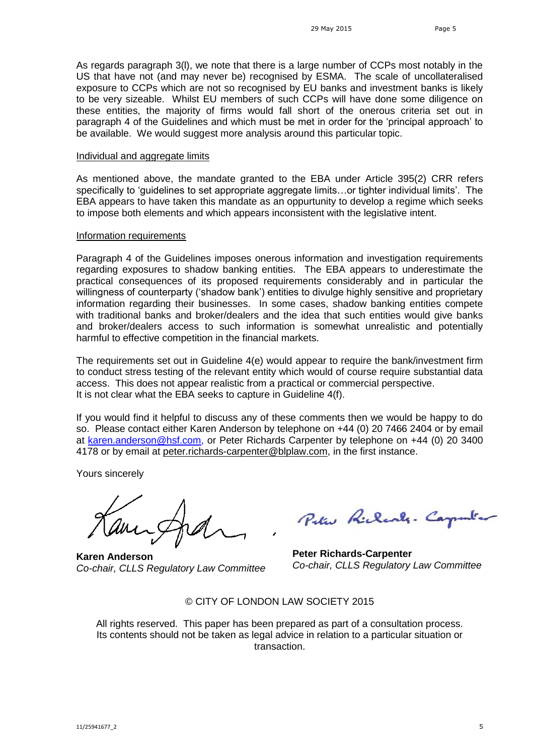As regards paragraph 3(l), we note that there is a large number of CCPs most notably in the US that have not (and may never be) recognised by ESMA. The scale of uncollateralised exposure to CCPs which are not so recognised by EU banks and investment banks is likely to be very sizeable. Whilst EU members of such CCPs will have done some diligence on these entities, the majority of firms would fall short of the onerous criteria set out in paragraph 4 of the Guidelines and which must be met in order for the 'principal approach' to be available. We would suggest more analysis around this particular topic.

#### Individual and aggregate limits

As mentioned above, the mandate granted to the EBA under Article 395(2) CRR refers specifically to 'guidelines to set appropriate aggregate limits…or tighter individual limits'. The EBA appears to have taken this mandate as an oppurtunity to develop a regime which seeks to impose both elements and which appears inconsistent with the legislative intent.

### Information requirements

Paragraph 4 of the Guidelines imposes onerous information and investigation requirements regarding exposures to shadow banking entities. The EBA appears to underestimate the practical consequences of its proposed requirements considerably and in particular the willingness of counterparty ('shadow bank') entities to divulge highly sensitive and proprietary information regarding their businesses. In some cases, shadow banking entities compete with traditional banks and broker/dealers and the idea that such entities would give banks and broker/dealers access to such information is somewhat unrealistic and potentially harmful to effective competition in the financial markets.

The requirements set out in Guideline 4(e) would appear to require the bank/investment firm to conduct stress testing of the relevant entity which would of course require substantial data access. This does not appear realistic from a practical or commercial perspective. It is not clear what the EBA seeks to capture in Guideline 4(f).

If you would find it helpful to discuss any of these comments then we would be happy to do so. Please contact either Karen Anderson by telephone on +44 (0) 20 7466 2404 or by email at [karen.anderson@hsf.com,](mailto:karen.anderson@hsf.com) or Peter Richards Carpenter by telephone on +44 (0) 20 3400 4178 or by email at [peter.richards-carpenter@blplaw.com,](mailto:peter.richards-carpenter@blplaw.com) in the first instance.

Yours sincerely

**Karen Anderson** *Co-chair, CLLS Regulatory Law Committee*

Peter Richards. Carpent.

**Peter Richards-Carpenter** *Co-chair, CLLS Regulatory Law Committee* 

© CITY OF LONDON LAW SOCIETY 2015

All rights reserved. This paper has been prepared as part of a consultation process. Its contents should not be taken as legal advice in relation to a particular situation or transaction.